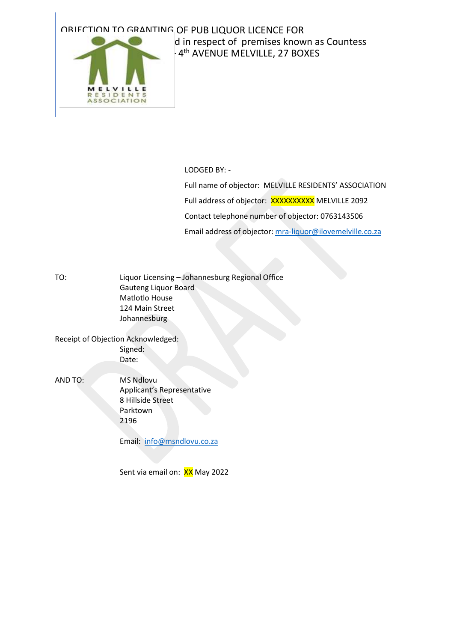## OBJECTION TO GRANTING OF PUB LIQUOR LICENCE FOR



## d in respect of premises known as Countess -4<sup>th</sup> AVENUE MELVILLE, 27 BOXES

LODGED BY: -

Full name of objector: MELVILLE RESIDENTS' ASSOCIATION Full address of objector: XXXXXXXXXX MELVILLE 2092 Contact telephone number of objector: 0763143506 Email address of objector: [mra-liquor@ilovemelville.co.za](mailto:mra-liquor@ilovemelville.co.za)

TO: Liquor Licensing – Johannesburg Regional Office Gauteng Liquor Board Matlotlo House 124 Main Street Johannesburg

Receipt of Objection Acknowledged: Signed: Date:

AND TO: MS Ndlovu Applicant's Representative 8 Hillside Street Parktown 2196

Email: [info@msndlovu.co.za](mailto:info@msndlovu.co.za)

Sent via email on: XX May 2022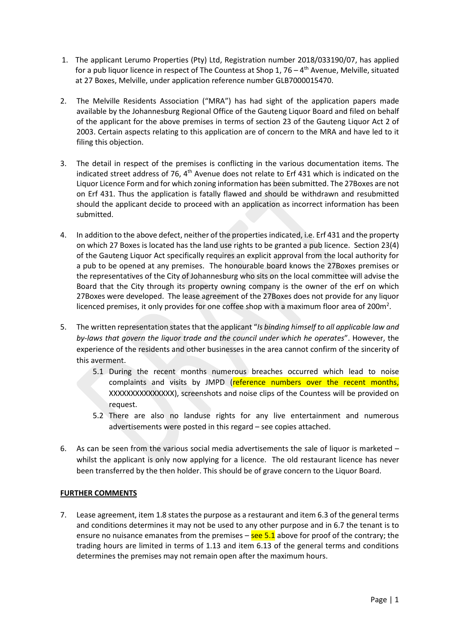- 1. The applicant Lerumo Properties (Pty) Ltd, Registration number 2018/033190/07, has applied for a pub liquor licence in respect of The Countess at Shop 1, 76 – 4<sup>th</sup> Avenue, Melville, situated at 27 Boxes, Melville, under application reference number GLB7000015470.
- 2. The Melville Residents Association ("MRA") has had sight of the application papers made available by the Johannesburg Regional Office of the Gauteng Liquor Board and filed on behalf of the applicant for the above premises in terms of section 23 of the Gauteng Liquor Act 2 of 2003. Certain aspects relating to this application are of concern to the MRA and have led to it filing this objection.
- 3. The detail in respect of the premises is conflicting in the various documentation items. The indicated street address of 76, 4<sup>th</sup> Avenue does not relate to Erf 431 which is indicated on the Liquor Licence Form and for which zoning information has been submitted. The 27Boxes are not on Erf 431. Thus the application is fatally flawed and should be withdrawn and resubmitted should the applicant decide to proceed with an application as incorrect information has been submitted.
- 4. In addition to the above defect, neither of the properties indicated, i.e. Erf 431 and the property on which 27 Boxes is located has the land use rights to be granted a pub licence. Section 23(4) of the Gauteng Liquor Act specifically requires an explicit approval from the local authority for a pub to be opened at any premises. The honourable board knows the 27Boxes premises or the representatives of the City of Johannesburg who sits on the local committee will advise the Board that the City through its property owning company is the owner of the erf on which 27Boxes were developed. The lease agreement of the 27Boxes does not provide for any liquor licenced premises, it only provides for one coffee shop with a maximum floor area of 200 $m^2$ .
- 5. The written representation states that the applicant "*Is binding himself to all applicable law and by-laws that govern the liquor trade and the council under which he operates*". However, the experience of the residents and other businesses in the area cannot confirm of the sincerity of this averment.
	- 5.1 During the recent months numerous breaches occurred which lead to noise complaints and visits by JMPD (reference numbers over the recent months, XXXXXXXXXXXXXXX), screenshots and noise clips of the Countess will be provided on request.
	- 5.2 There are also no landuse rights for any live entertainment and numerous advertisements were posted in this regard – see copies attached.
- 6. As can be seen from the various social media advertisements the sale of liquor is marketed whilst the applicant is only now applying for a licence. The old restaurant licence has never been transferred by the then holder. This should be of grave concern to the Liquor Board.

## **FURTHER COMMENTS**

7. Lease agreement, item 1.8 states the purpose as a restaurant and item 6.3 of the general terms and conditions determines it may not be used to any other purpose and in 6.7 the tenant is to ensure no nuisance emanates from the premises  $-\frac{\text{see } 5.1}{2}$  above for proof of the contrary; the trading hours are limited in terms of 1.13 and item 6.13 of the general terms and conditions determines the premises may not remain open after the maximum hours.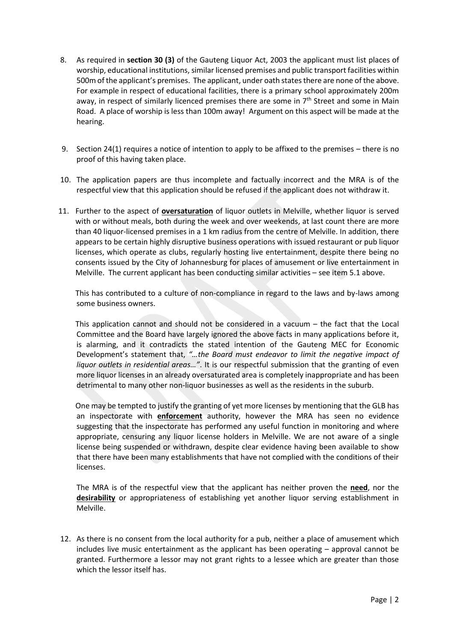- 8. As required in **section 30 (3)** of the Gauteng Liquor Act, 2003 the applicant must list places of worship, educational institutions, similar licensed premises and public transport facilities within 500m of the applicant's premises. The applicant, under oath states there are none of the above. For example in respect of educational facilities, there is a primary school approximately 200m away, in respect of similarly licenced premises there are some in 7<sup>th</sup> Street and some in Main Road. A place of worship is less than 100m away! Argument on this aspect will be made at the hearing.
- 9. Section 24(1) requires a notice of intention to apply to be affixed to the premises there is no proof of this having taken place.
- 10. The application papers are thus incomplete and factually incorrect and the MRA is of the respectful view that this application should be refused if the applicant does not withdraw it.
- 11. Further to the aspect of **oversaturation** of liquor outlets in Melville, whether liquor is served with or without meals, both during the week and over weekends, at last count there are more than 40 liquor-licensed premises in a 1 km radius from the centre of Melville. In addition, there appears to be certain highly disruptive business operations with issued restaurant or pub liquor licenses, which operate as clubs, regularly hosting live entertainment, despite there being no consents issued by the City of Johannesburg for places of amusement or live entertainment in Melville. The current applicant has been conducting similar activities – see item 5.1 above.

 This has contributed to a culture of non-compliance in regard to the laws and by-laws among some business owners.

 This application cannot and should not be considered in a vacuum – the fact that the Local Committee and the Board have largely ignored the above facts in many applications before it, is alarming, and it contradicts the stated intention of the Gauteng MEC for Economic Development's statement that, *"…the Board must endeavor to limit the negative impact of liquor outlets in residential areas…"*. It is our respectful submission that the granting of even more liquor licenses in an already oversaturated area is completely inappropriate and has been detrimental to many other non-liquor businesses as well as the residents in the suburb.

 One may be tempted to justify the granting of yet more licenses by mentioning that the GLB has an inspectorate with **enforcement** authority, however the MRA has seen no evidence suggesting that the inspectorate has performed any useful function in monitoring and where appropriate, censuring any liquor license holders in Melville. We are not aware of a single license being suspended or withdrawn, despite clear evidence having been available to show that there have been many establishments that have not complied with the conditions of their licenses.

The MRA is of the respectful view that the applicant has neither proven the **need**, nor the **desirability** or appropriateness of establishing yet another liquor serving establishment in Melville.

12. As there is no consent from the local authority for a pub, neither a place of amusement which includes live music entertainment as the applicant has been operating – approval cannot be granted. Furthermore a lessor may not grant rights to a lessee which are greater than those which the lessor itself has.